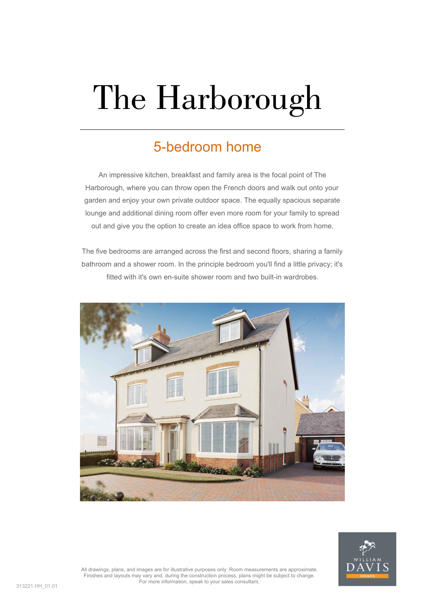## The Harborough

## 5-bedroom home

An impressive kitchen, breakfast and family area is the focal point of The Harborough, where you can throw open the French doors and walk out onto your garden and enjoy your own private outdoor space. The equally spacious separate lounge and additional dining room offer even more room for your family to spread out and give you the option to create an idea office space to work from home.

The five bedrooms are arranged across the first and second floors, sharing a family bathroom and a shower room. In the principle bedroom you'll find a little privacy; it's fitted with it's own en-suite shower room and two built-in wardrobes.





All drawings, plans, and images are for illustrative purposes only. Room measurements are approximate. Finishes and layouts may vary and, during the construction process, plans might be subject to change. For more information, speak to your sales consultant.